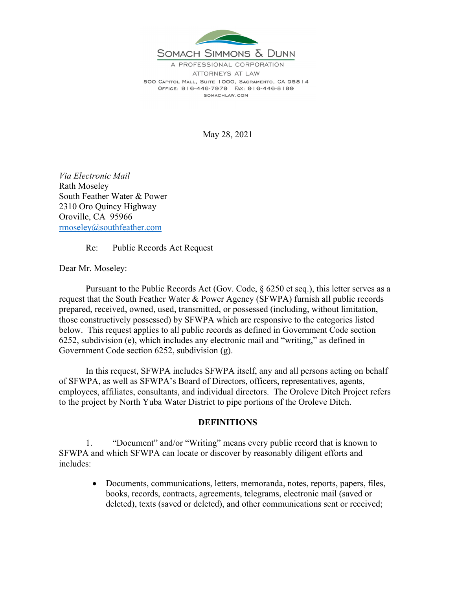

A PROFESSIONAL CORPORATION ATTORNEYS AT I AW 500 CAPITOL MALL, SUITE 1000, SACRAMENTO, CA 95814 OFFICE: 916-446-7979 FAX: 916-446-8199 SOMACHLAW.COM

May 28, 2021

*Via Electronic Mail*  Rath Moseley South Feather Water & Power 2310 Oro Quincy Highway Oroville, CA 95966 rmoseley@southfeather.com

Re: Public Records Act Request

Dear Mr. Moseley:

 Pursuant to the Public Records Act (Gov. Code, § 6250 et seq.), this letter serves as a request that the South Feather Water & Power Agency (SFWPA) furnish all public records prepared, received, owned, used, transmitted, or possessed (including, without limitation, those constructively possessed) by SFWPA which are responsive to the categories listed below. This request applies to all public records as defined in Government Code section 6252, subdivision (e), which includes any electronic mail and "writing," as defined in Government Code section 6252, subdivision (g).

 In this request, SFWPA includes SFWPA itself, any and all persons acting on behalf of SFWPA, as well as SFWPA's Board of Directors, officers, representatives, agents, employees, affiliates, consultants, and individual directors. The Oroleve Ditch Project refers to the project by North Yuba Water District to pipe portions of the Oroleve Ditch.

## **DEFINITIONS**

 1. "Document" and/or "Writing" means every public record that is known to SFWPA and which SFWPA can locate or discover by reasonably diligent efforts and includes:

> Documents, communications, letters, memoranda, notes, reports, papers, files, books, records, contracts, agreements, telegrams, electronic mail (saved or deleted), texts (saved or deleted), and other communications sent or received;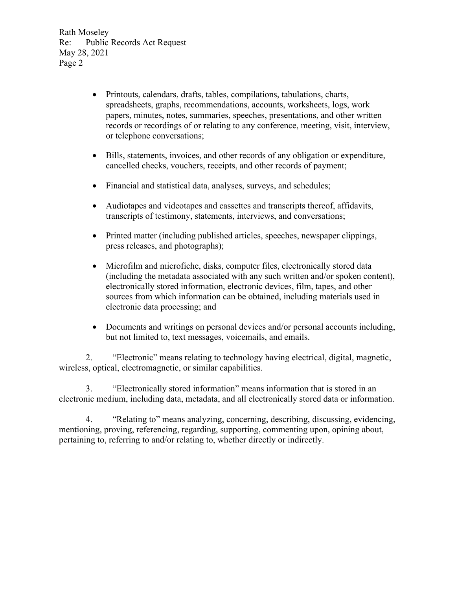Rath Moseley Re: Public Records Act Request May 28, 2021 Page 2

- Printouts, calendars, drafts, tables, compilations, tabulations, charts, spreadsheets, graphs, recommendations, accounts, worksheets, logs, work papers, minutes, notes, summaries, speeches, presentations, and other written records or recordings of or relating to any conference, meeting, visit, interview, or telephone conversations;
- Bills, statements, invoices, and other records of any obligation or expenditure, cancelled checks, vouchers, receipts, and other records of payment;
- Financial and statistical data, analyses, surveys, and schedules;
- Audiotapes and videotapes and cassettes and transcripts thereof, affidavits, transcripts of testimony, statements, interviews, and conversations;
- Printed matter (including published articles, speeches, newspaper clippings, press releases, and photographs);
- Microfilm and microfiche, disks, computer files, electronically stored data (including the metadata associated with any such written and/or spoken content), electronically stored information, electronic devices, film, tapes, and other sources from which information can be obtained, including materials used in electronic data processing; and
- Documents and writings on personal devices and/or personal accounts including, but not limited to, text messages, voicemails, and emails.

 2. "Electronic" means relating to technology having electrical, digital, magnetic, wireless, optical, electromagnetic, or similar capabilities.

 3. "Electronically stored information" means information that is stored in an electronic medium, including data, metadata, and all electronically stored data or information.

 4. "Relating to" means analyzing, concerning, describing, discussing, evidencing, mentioning, proving, referencing, regarding, supporting, commenting upon, opining about, pertaining to, referring to and/or relating to, whether directly or indirectly.